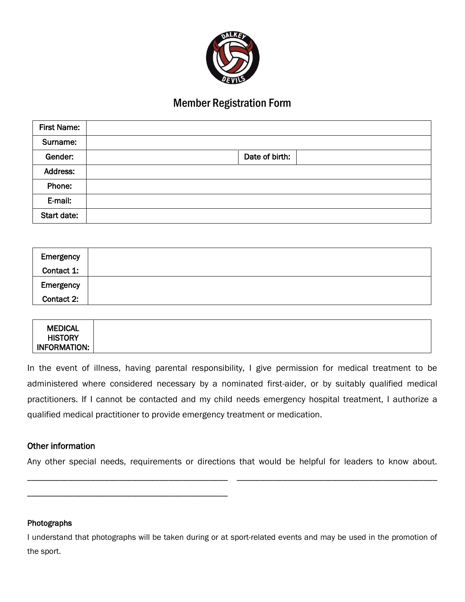

# Member Registration Form

| <b>First Name:</b> |                |
|--------------------|----------------|
| Surname:           |                |
| Gender:            | Date of birth: |
| Address:           |                |
| Phone:             |                |
| E-mail:            |                |
| Start date:        |                |

| Emergency  |  |
|------------|--|
| Contact 1: |  |
| Emergency  |  |
| Contact 2: |  |

| <b>INFORMATION:</b> |  |  |  |  |
|---------------------|--|--|--|--|
|---------------------|--|--|--|--|

In the event of illness, having parental responsibility, I give permission for medical treatment to be administered where considered necessary by a nominated first-aider, or by suitably qualified medical practitioners. If I cannot be contacted and my child needs emergency hospital treatment, I authorize a qualified medical practitioner to provide emergency treatment or medication.

# Other information

\_\_\_\_\_\_\_\_\_\_\_\_\_\_\_\_\_\_\_\_\_\_\_\_\_\_\_\_\_\_\_\_\_\_\_\_\_\_\_\_\_\_\_\_

Any other special needs, requirements or directions that would be helpful for leaders to know about. \_\_\_\_\_\_\_\_\_\_\_\_\_\_\_\_\_\_\_\_\_\_\_\_\_\_\_\_\_\_\_\_\_\_\_\_\_\_\_\_\_\_\_\_ \_\_\_\_\_\_\_\_\_\_\_\_\_\_\_\_\_\_\_\_\_\_\_\_\_\_\_\_\_\_\_\_\_\_\_\_\_\_\_\_\_\_\_\_

#### Photographs

I understand that photographs will be taken during or at sport-related events and may be used in the promotion of the sport.